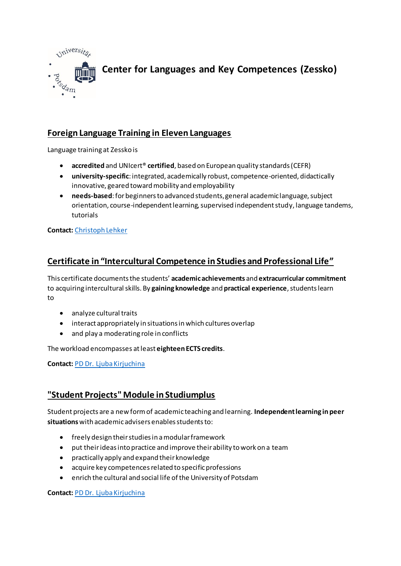

# **Foreign Language Training in Eleven Languages**

Language training at Zessko is

- **accredited** and UNIcert® **certified**, based on European quality standards (CEFR)
- **university-specific**: integrated, academically robust, competence-oriented, didactically innovative, geared toward mobility and employability
- **needs-based**: for beginners to advanced students, general academic language, subject orientation, course-independent learning, supervised independent study, language tandems, tutorials

**Contact:** [Christoph Lehker](https://www.uni-potsdam.de/en/zessko/languages/german/contact.html#c28117)

## **Certificate in "Intercultural Competence in Studies and Professional Life"**

This certificate documents the students' **academic achievements** and **extracurricular commitment** to acquiring intercultural skills. By **gaining knowledge** and **practical experience**, students learn to

- analyze cultural traits
- interact appropriately in situations in which cultures overlap
- and play a moderating role in conflicts

The workload encompasses at least **eighteen ECTS credits**.

**Contact:** [PD Dr. Ljuba Kirjuchina](https://www.uni-potsdam.de/en/zessko/key-competences-studiumplus/contact.html#c47304)

### **"Student Projects" Module in Studiumplus**

Student projects are a new form of academic teaching and learning. **Independent learning in peer situations**with academic advisers enables students to:

- freely design their studies in a modular framework
- put their ideas into practice and improve their ability to work on a team
- practically apply and expand their knowledge
- acquire key competences related to specific professions
- enrich the cultural and social life of the University of Potsdam

**Contact:** [PD Dr. Ljuba Kirjuchina](https://www.uni-potsdam.de/en/zessko/key-competences-studiumplus/contact.html#c47304)